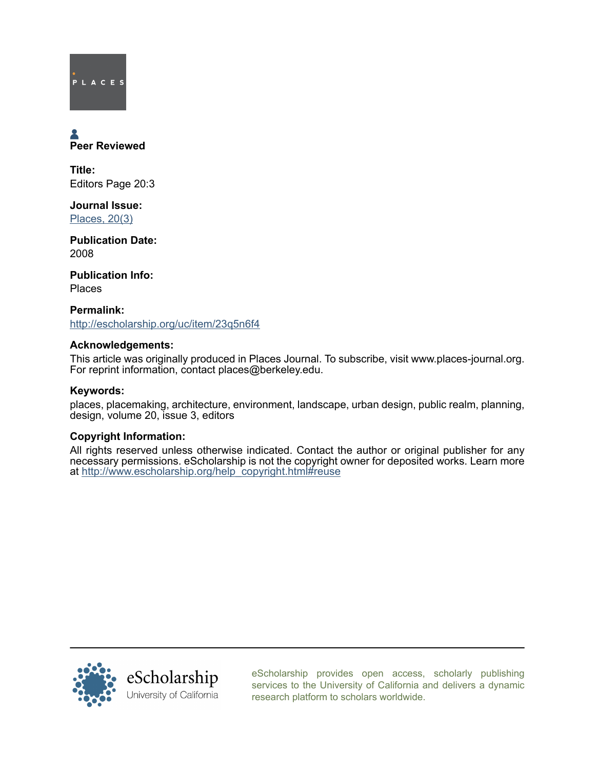# PLACES

## Peer Reviewed

Title: Editors Page 20:3

Journal Issue: [Places, 20\(3\)](http://escholarship.org/uc/ced_places?volume=20;issue=3)

Publication Date: 2008

Publication Info: Places

Permalink: <http://escholarship.org/uc/item/23q5n6f4>

#### Acknowledgements:

This article was originally produced in Places Journal. To subscribe, visit www.places-journal.org. For reprint information, contact places@berkeley.edu.

#### Keywords:

places, placemaking, architecture, environment, landscape, urban design, public realm, planning, design, volume 20, issue 3, editors

#### Copyright Information:

All rights reserved unless otherwise indicated. Contact the author or original publisher for any necessary permissions. eScholarship is not the copyright owner for deposited works. Learn more at [http://www.escholarship.org/help\\_copyright.html#reuse](http://www.escholarship.org/help_copyright.html#reuse)



[eScholarship provides open access, scholarly publishing](http://escholarship.org) [services to the University of California and delivers a dynamic](http://escholarship.org) [research platform to scholars worldwide.](http://escholarship.org)